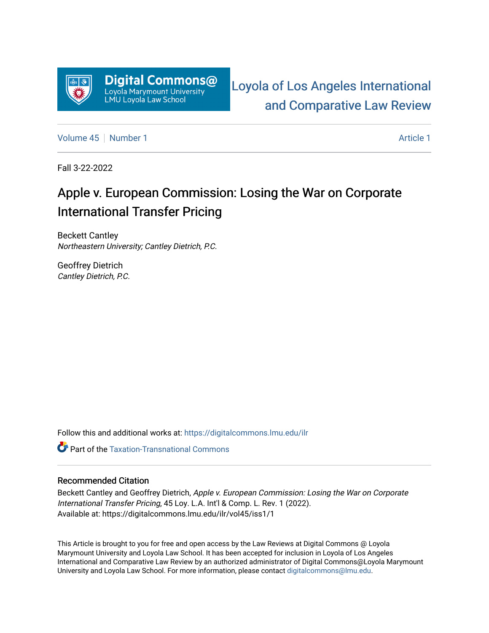

[Loyola of Los Angeles International](https://digitalcommons.lmu.edu/ilr)  [and Comparative Law Review](https://digitalcommons.lmu.edu/ilr) 

[Volume 45](https://digitalcommons.lmu.edu/ilr/vol45) [Number 1](https://digitalcommons.lmu.edu/ilr/vol45/iss1) [Article 1](https://digitalcommons.lmu.edu/ilr/vol45/iss1/1) Article 1 Article 1 Article 1 Article 1 Article 1 Article 1

Fall 3-22-2022

# Apple v. European Commission: Losing the War on Corporate International Transfer Pricing

Beckett Cantley Northeastern University; Cantley Dietrich, P.C.

Geoffrey Dietrich Cantley Dietrich, P.C.

Follow this and additional works at: [https://digitalcommons.lmu.edu/ilr](https://digitalcommons.lmu.edu/ilr?utm_source=digitalcommons.lmu.edu%2Filr%2Fvol45%2Fiss1%2F1&utm_medium=PDF&utm_campaign=PDFCoverPages) 

**C** Part of the [Taxation-Transnational Commons](http://network.bepress.com/hgg/discipline/883?utm_source=digitalcommons.lmu.edu%2Filr%2Fvol45%2Fiss1%2F1&utm_medium=PDF&utm_campaign=PDFCoverPages)

## Recommended Citation

Beckett Cantley and Geoffrey Dietrich, Apple v. European Commission: Losing the War on Corporate International Transfer Pricing, 45 Loy. L.A. Int'l & Comp. L. Rev. 1 (2022). Available at: https://digitalcommons.lmu.edu/ilr/vol45/iss1/1

This Article is brought to you for free and open access by the Law Reviews at Digital Commons @ Loyola Marymount University and Loyola Law School. It has been accepted for inclusion in Loyola of Los Angeles International and Comparative Law Review by an authorized administrator of Digital Commons@Loyola Marymount University and Loyola Law School. For more information, please contact [digitalcommons@lmu.edu.](mailto:digitalcommons@lmu.edu)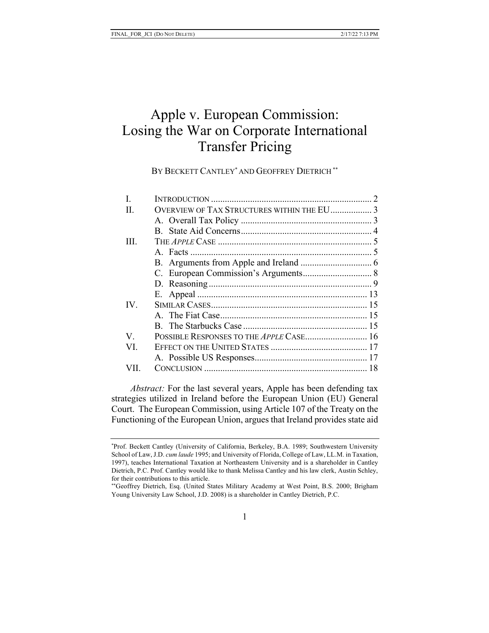## Apple v. European Commission: Losing the War on Corporate International Transfer Pricing

BY BECKETT CANTLEY<sup>\*</sup> AND GEOFFREY DIETRICH<sup>\*\*</sup>

| L    |                                            |  |
|------|--------------------------------------------|--|
| H.   | OVERVIEW OF TAX STRUCTURES WITHIN THE EU 3 |  |
|      |                                            |  |
|      |                                            |  |
| III. |                                            |  |
|      |                                            |  |
|      |                                            |  |
|      |                                            |  |
|      |                                            |  |
|      |                                            |  |
| IV.  |                                            |  |
|      |                                            |  |
|      |                                            |  |
| V    | POSSIBLE RESPONSES TO THE APPLE CASE 16    |  |
| VI.  |                                            |  |
|      |                                            |  |
| VII. |                                            |  |
|      |                                            |  |

*Abstract:* For the last several years, Apple has been defending tax strategies utilized in Ireland before the European Union (EU) General Court. The European Commission, using Article 107 of the Treaty on the Functioning of the European Union, argues that Ireland provides state aid

<sup>\*</sup>Prof. Beckett Cantley (University of California, Berkeley, B.A. 1989; Southwestern University School of Law, J.D. *cum laude* 1995; and University of Florida, College of Law, LL.M. in Taxation, 1997), teaches International Taxation at Northeastern University and is a shareholder in Cantley Dietrich, P.C. Prof. Cantley would like to thank Melissa Cantley and his law clerk, Austin Schley, for their contributions to this article.

<sup>\*\*</sup>Geoffrey Dietrich, Esq. (United States Military Academy at West Point, B.S. 2000; Brigham Young University Law School, J.D. 2008) is a shareholder in Cantley Dietrich, P.C.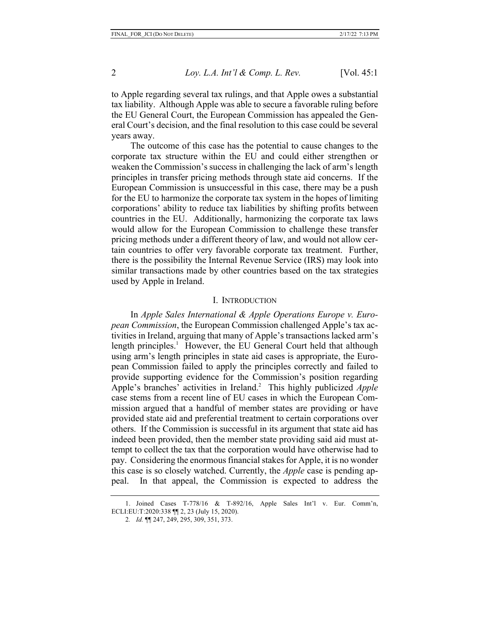to Apple regarding several tax rulings, and that Apple owes a substantial tax liability. Although Apple was able to secure a favorable ruling before the EU General Court, the European Commission has appealed the General Court's decision, and the final resolution to this case could be several years away.

The outcome of this case has the potential to cause changes to the corporate tax structure within the EU and could either strengthen or weaken the Commission's success in challenging the lack of arm's length principles in transfer pricing methods through state aid concerns. If the European Commission is unsuccessful in this case, there may be a push for the EU to harmonize the corporate tax system in the hopes of limiting corporations' ability to reduce tax liabilities by shifting profits between countries in the EU. Additionally, harmonizing the corporate tax laws would allow for the European Commission to challenge these transfer pricing methods under a different theory of law, and would not allow certain countries to offer very favorable corporate tax treatment. Further, there is the possibility the Internal Revenue Service (IRS) may look into similar transactions made by other countries based on the tax strategies used by Apple in Ireland.

#### I. INTRODUCTION

In *Apple Sales International & Apple Operations Europe v. European Commission*, the European Commission challenged Apple's tax activities in Ireland, arguing that many of Apple's transactions lacked arm's length principles.<sup>1</sup> However, the EU General Court held that although using arm's length principles in state aid cases is appropriate, the European Commission failed to apply the principles correctly and failed to provide supporting evidence for the Commission's position regarding Apple's branches' activities in Ireland.<sup>2</sup> This highly publicized *Apple* case stems from a recent line of EU cases in which the European Commission argued that a handful of member states are providing or have provided state aid and preferential treatment to certain corporations over others. If the Commission is successful in its argument that state aid has indeed been provided, then the member state providing said aid must attempt to collect the tax that the corporation would have otherwise had to pay. Considering the enormous financial stakes for Apple, it is no wonder this case is so closely watched. Currently, the *Apple* case is pending appeal. In that appeal, the Commission is expected to address the

<sup>1.</sup> Joined Cases T-778/16 & T-892/16, Apple Sales Int'l v. Eur. Comm'n, ECLI:EU:T:2020:338 ¶¶ 2, 23 (July 15, 2020).

<sup>2</sup>*. Id.* ¶¶ 247, 249, 295, 309, 351, 373.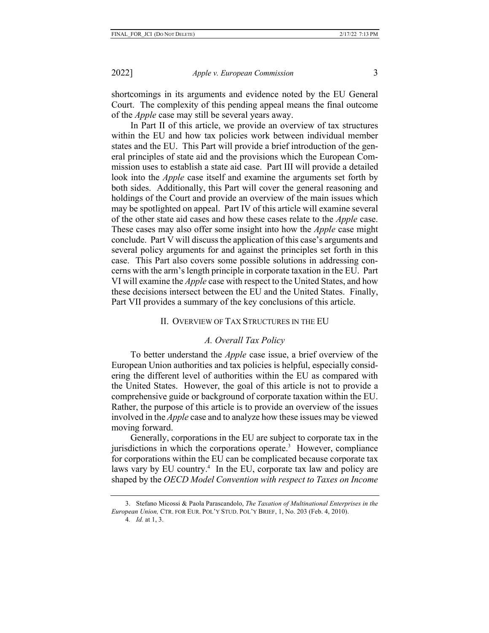shortcomings in its arguments and evidence noted by the EU General Court. The complexity of this pending appeal means the final outcome of the *Apple* case may still be several years away.

In Part II of this article, we provide an overview of tax structures within the EU and how tax policies work between individual member states and the EU. This Part will provide a brief introduction of the general principles of state aid and the provisions which the European Commission uses to establish a state aid case. Part III will provide a detailed look into the *Apple* case itself and examine the arguments set forth by both sides. Additionally, this Part will cover the general reasoning and holdings of the Court and provide an overview of the main issues which may be spotlighted on appeal. Part IV of this article will examine several of the other state aid cases and how these cases relate to the *Apple* case. These cases may also offer some insight into how the *Apple* case might conclude. Part V will discuss the application of this case's arguments and several policy arguments for and against the principles set forth in this case. This Part also covers some possible solutions in addressing concerns with the arm's length principle in corporate taxation in the EU. Part VI will examine the *Apple* case with respect to the United States, and how these decisions intersect between the EU and the United States. Finally, Part VII provides a summary of the key conclusions of this article.

## II. OVERVIEW OF TAX STRUCTURES IN THE EU

## *A. Overall Tax Policy*

To better understand the *Apple* case issue, a brief overview of the European Union authorities and tax policies is helpful, especially considering the different level of authorities within the EU as compared with the United States. However, the goal of this article is not to provide a comprehensive guide or background of corporate taxation within the EU. Rather, the purpose of this article is to provide an overview of the issues involved in the *Apple* case and to analyze how these issues may be viewed moving forward.

Generally, corporations in the EU are subject to corporate tax in the jurisdictions in which the corporations operate.<sup>3</sup> However, compliance for corporations within the EU can be complicated because corporate tax laws vary by EU country.<sup>4</sup> In the EU, corporate tax law and policy are shaped by the *OECD Model Convention with respect to Taxes on Income* 

<sup>3.</sup> Stefano Micossi & Paola Parascandolo, *The Taxation of Multinational Enterprises in the European Union,* CTR. FOR EUR. POL'Y STUD. POL'Y BRIEF, 1, No. 203 (Feb. 4, 2010).

<sup>4</sup>*. Id.* at 1, 3.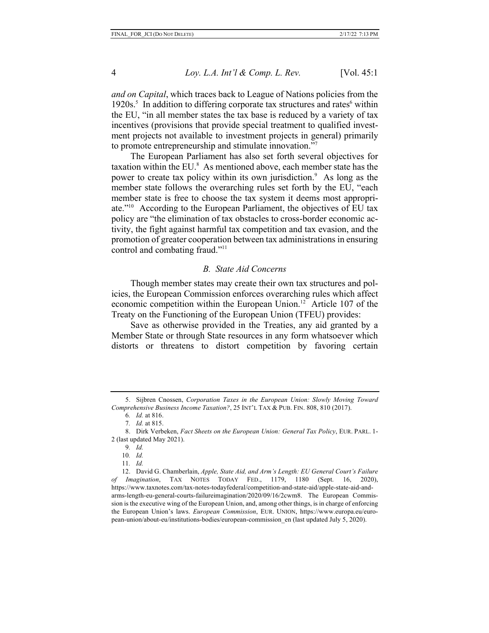*and on Capital*, which traces back to League of Nations policies from the  $1920s$ <sup>5</sup>. In addition to differing corporate tax structures and rates<sup>6</sup> within the EU, "in all member states the tax base is reduced by a variety of tax incentives (provisions that provide special treatment to qualified investment projects not available to investment projects in general) primarily to promote entrepreneurship and stimulate innovation."7

The European Parliament has also set forth several objectives for taxation within the EU.<sup>8</sup> As mentioned above, each member state has the power to create tax policy within its own jurisdiction.<sup>9</sup> As long as the member state follows the overarching rules set forth by the EU, "each member state is free to choose the tax system it deems most appropriate."10 According to the European Parliament, the objectives of EU tax policy are "the elimination of tax obstacles to cross-border economic activity, the fight against harmful tax competition and tax evasion, and the promotion of greater cooperation between tax administrations in ensuring control and combating fraud."<sup>11</sup>

## *B. State Aid Concerns*

Though member states may create their own tax structures and policies, the European Commission enforces overarching rules which affect economic competition within the European Union.<sup>12</sup> Article 107 of the Treaty on the Functioning of the European Union (TFEU) provides:

Save as otherwise provided in the Treaties, any aid granted by a Member State or through State resources in any form whatsoever which distorts or threatens to distort competition by favoring certain

<sup>5.</sup> Sijbren Cnossen, *Corporation Taxes in the European Union: Slowly Moving Toward Comprehensive Business Income Taxation?*, 25 INT'L TAX & PUB. FIN. 808, 810 (2017).

<sup>6</sup>*. Id.* at 816.

<sup>7</sup>*. Id.* at 815.

<sup>8.</sup> Dirk Verbeken, *Fact Sheets on the European Union: General Tax Policy*, EUR. PARL. 1- 2 (last updated May 2021).

<sup>9</sup>*. Id.*

<sup>10</sup>*. Id.*

<sup>11</sup>*. Id.*

<sup>12.</sup> David G. Chamberlain, *Apple, State Aid, and Arm's Length: EU General Court's Failure of Imagination*, TAX NOTES TODAY FED., 1179, 1180 (Sept. 16, 2020), https://www.taxnotes.com/tax-notes-todayfederal/competition-and-state-aid/apple-state-aid-andarms-length-eu-general-courts-failureimagination/2020/09/16/2cwm8. The European Commission is the executive wing of the European Union, and, among other things, is in charge of enforcing the European Union's laws. *European Commission*, EUR. UNION, https://www.europa.eu/european-union/about-eu/institutions-bodies/european-commission\_en (last updated July 5, 2020).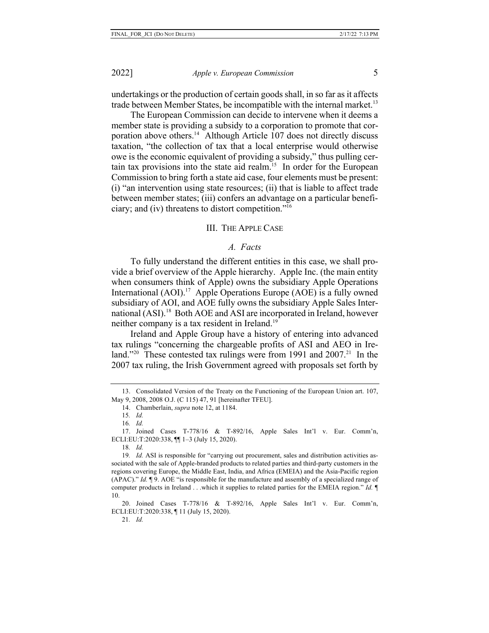undertakings or the production of certain goods shall, in so far as it affects trade between Member States, be incompatible with the internal market.<sup>13</sup>

The European Commission can decide to intervene when it deems a member state is providing a subsidy to a corporation to promote that corporation above others.<sup>14</sup> Although Article 107 does not directly discuss taxation, "the collection of tax that a local enterprise would otherwise owe is the economic equivalent of providing a subsidy," thus pulling certain tax provisions into the state aid realm.<sup>15</sup> In order for the European Commission to bring forth a state aid case, four elements must be present: (i) "an intervention using state resources; (ii) that is liable to affect trade between member states; (iii) confers an advantage on a particular beneficiary; and (iv) threatens to distort competition."16

## III. THE APPLE CASE

## *A. Facts*

To fully understand the different entities in this case, we shall provide a brief overview of the Apple hierarchy. Apple Inc. (the main entity when consumers think of Apple) owns the subsidiary Apple Operations International  $(AOI)$ .<sup>17</sup> Apple Operations Europe  $(AOE)$  is a fully owned subsidiary of AOI, and AOE fully owns the subsidiary Apple Sales International (ASI).<sup>18</sup> Both AOE and ASI are incorporated in Ireland, however neither company is a tax resident in Ireland.<sup>19</sup>

Ireland and Apple Group have a history of entering into advanced tax rulings "concerning the chargeable profits of ASI and AEO in Ireland."<sup>20</sup> These contested tax rulings were from 1991 and  $2007$ .<sup>21</sup> In the 2007 tax ruling, the Irish Government agreed with proposals set forth by

<sup>13.</sup> Consolidated Version of the Treaty on the Functioning of the European Union art. 107, May 9, 2008, 2008 O.J. (C 115) 47, 91 [hereinafter TFEU].

<sup>14.</sup> Chamberlain, *supra* note 12, at 1184.

<sup>15</sup>*. Id.*

<sup>16</sup>*. Id.*

<sup>17.</sup> Joined Cases T-778/16 & T-892/16, Apple Sales Int'l v. Eur. Comm'n, ECLI:EU:T:2020:338, ¶¶ 1–3 (July 15, 2020).

<sup>18</sup>*. Id.*

<sup>19</sup>*. Id.* ASI is responsible for "carrying out procurement, sales and distribution activities associated with the sale of Apple-branded products to related parties and third-party customers in the regions covering Europe, the Middle East, India, and Africa (EMEIA) and the Asia-Pacific region (APAC)." *Id.* ¶ 9. AOE "is responsible for the manufacture and assembly of a specialized range of computer products in Ireland . . .which it supplies to related parties for the EMEIA region." *Id.* ¶ 10.

<sup>20.</sup> Joined Cases T-778/16 & T-892/16, Apple Sales Int'l v. Eur. Comm'n, ECLI:EU:T:2020:338, ¶ 11 (July 15, 2020).

<sup>21</sup>*. Id.*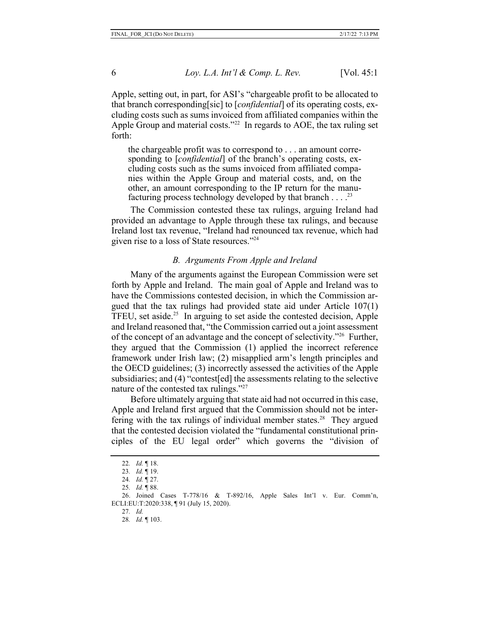Apple, setting out, in part, for ASI's "chargeable profit to be allocated to that branch corresponding[sic] to [*confidential*] of its operating costs, excluding costs such as sums invoiced from affiliated companies within the Apple Group and material costs."<sup>22</sup> In regards to AOE, the tax ruling set forth:

the chargeable profit was to correspond to . . . an amount corresponding to [*confidential*] of the branch's operating costs, excluding costs such as the sums invoiced from affiliated companies within the Apple Group and material costs, and, on the other, an amount corresponding to the IP return for the manufacturing process technology developed by that branch  $\dots$ .<sup>23</sup>

The Commission contested these tax rulings, arguing Ireland had provided an advantage to Apple through these tax rulings, and because Ireland lost tax revenue, "Ireland had renounced tax revenue, which had given rise to a loss of State resources."24

#### *B. Arguments From Apple and Ireland*

Many of the arguments against the European Commission were set forth by Apple and Ireland. The main goal of Apple and Ireland was to have the Commissions contested decision, in which the Commission argued that the tax rulings had provided state aid under Article 107(1) TFEU, set aside.<sup>25</sup> In arguing to set aside the contested decision, Apple and Ireland reasoned that, "the Commission carried out a joint assessment of the concept of an advantage and the concept of selectivity."26 Further, they argued that the Commission (1) applied the incorrect reference framework under Irish law; (2) misapplied arm's length principles and the OECD guidelines; (3) incorrectly assessed the activities of the Apple subsidiaries; and (4) "contest[ed] the assessments relating to the selective nature of the contested tax rulings."27

Before ultimately arguing that state aid had not occurred in this case, Apple and Ireland first argued that the Commission should not be interfering with the tax rulings of individual member states.<sup>28</sup> They argued that the contested decision violated the "fundamental constitutional principles of the EU legal order" which governs the "division of

- 27*. Id.*
- 28*. Id.* ¶ 103.

<sup>22</sup>*. Id.* ¶ 18.

<sup>23</sup>*. Id.* ¶ 19.

<sup>24</sup>*. Id.* ¶ 27.

<sup>25</sup>*. Id.* ¶ 88.

<sup>26.</sup> Joined Cases T-778/16 & T-892/16, Apple Sales Int'l v. Eur. Comm'n, ECLI:EU:T:2020:338, ¶ 91 (July 15, 2020).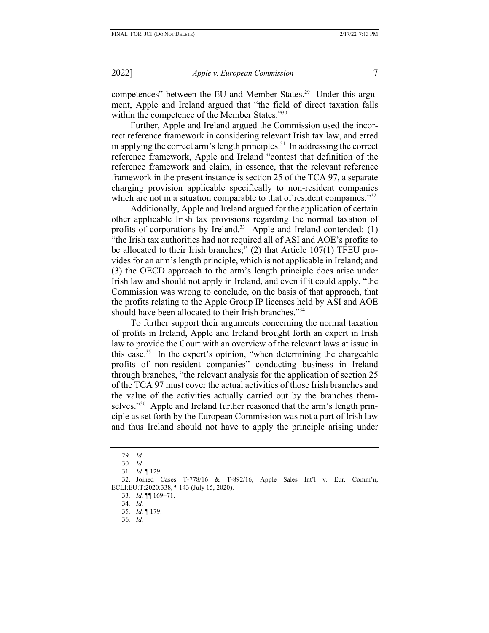competences" between the EU and Member States.<sup>29</sup> Under this argument, Apple and Ireland argued that "the field of direct taxation falls within the competence of the Member States."30

Further, Apple and Ireland argued the Commission used the incorrect reference framework in considering relevant Irish tax law, and erred in applying the correct arm's length principles. $31$  In addressing the correct reference framework, Apple and Ireland "contest that definition of the reference framework and claim, in essence, that the relevant reference framework in the present instance is section 25 of the TCA 97, a separate charging provision applicable specifically to non-resident companies which are not in a situation comparable to that of resident companies."<sup>32</sup>

Additionally, Apple and Ireland argued for the application of certain other applicable Irish tax provisions regarding the normal taxation of profits of corporations by Ireland.<sup>33</sup> Apple and Ireland contended:  $(1)$ "the Irish tax authorities had not required all of ASI and AOE's profits to be allocated to their Irish branches;" (2) that Article 107(1) TFEU provides for an arm's length principle, which is not applicable in Ireland; and (3) the OECD approach to the arm's length principle does arise under Irish law and should not apply in Ireland, and even if it could apply, "the Commission was wrong to conclude, on the basis of that approach, that the profits relating to the Apple Group IP licenses held by ASI and AOE should have been allocated to their Irish branches."34

To further support their arguments concerning the normal taxation of profits in Ireland, Apple and Ireland brought forth an expert in Irish law to provide the Court with an overview of the relevant laws at issue in this case.35 In the expert's opinion, "when determining the chargeable profits of non-resident companies" conducting business in Ireland through branches, "the relevant analysis for the application of section 25 of the TCA 97 must cover the actual activities of those Irish branches and the value of the activities actually carried out by the branches themselves."<sup>36</sup> Apple and Ireland further reasoned that the arm's length principle as set forth by the European Commission was not a part of Irish law and thus Ireland should not have to apply the principle arising under

36*. Id.*

<sup>29</sup>*. Id.*

<sup>30</sup>*. Id.*

<sup>31</sup>*. Id.* ¶ 129.

<sup>32.</sup> Joined Cases T-778/16 & T-892/16, Apple Sales Int'l v. Eur. Comm'n, ECLI:EU:T:2020:338, ¶ 143 (July 15, 2020).

<sup>33</sup>*. Id.* ¶¶ 169–71.

<sup>34</sup>*. Id.*

<sup>35</sup>*. Id.* ¶ 179.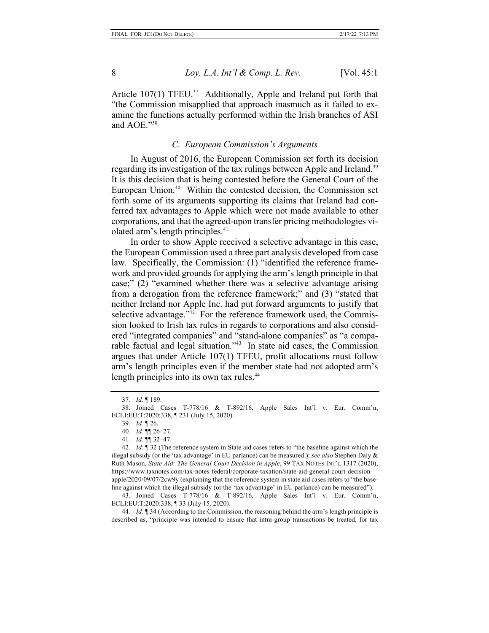Article  $107(1)$  TFEU.<sup>37</sup> Additionally, Apple and Ireland put forth that "the Commission misapplied that approach inasmuch as it failed to examine the functions actually performed within the Irish branches of ASI and AOE."38

## *C. European Commission's Arguments*

In August of 2016, the European Commission set forth its decision regarding its investigation of the tax rulings between Apple and Ireland.<sup>39</sup> It is this decision that is being contested before the General Court of the European Union.<sup>40</sup> Within the contested decision, the Commission set forth some of its arguments supporting its claims that Ireland had conferred tax advantages to Apple which were not made available to other corporations, and that the agreed-upon transfer pricing methodologies violated arm's length principles.<sup>41</sup>

In order to show Apple received a selective advantage in this case, the European Commission used a three part analysis developed from case law. Specifically, the Commission: (1) "identified the reference framework and provided grounds for applying the arm's length principle in that case;" (2) "examined whether there was a selective advantage arising from a derogation from the reference framework;" and (3) "stated that neither Ireland nor Apple Inc. had put forward arguments to justify that selective advantage."<sup>42</sup> For the reference framework used, the Commission looked to Irish tax rules in regards to corporations and also considered "integrated companies" and "stand-alone companies" as "a comparable factual and legal situation."43 In state aid cases, the Commission argues that under Article 107(1) TFEU, profit allocations must follow arm's length principles even if the member state had not adopted arm's length principles into its own tax rules.<sup>44</sup>

42*. Id.* ¶ 32 (The reference system in State aid cases refers to "the baseline against which the illegal subsidy (or the 'tax advantage' in EU parlance) can be measured.); *see also* Stephen Daly & Ruth Mason, *State Aid: The General Court Decision in Apple*, 99 TAX NOTES INT'L 1317 (2020), https://www.taxnotes.com/tax-notes-federal/corporate-taxation/state-aid-general-court-decisionapple/2020/09/07/2cw9y (explaining that the reference system in state aid cases refers to "the baseline against which the illegal subsidy (or the 'tax advantage' in EU parlance) can be measured").

43. Joined Cases T-778/16 & T-892/16, Apple Sales Int'l v. Eur. Comm'n, ECLI:EU:T:2020:338, ¶ 33 (July 15, 2020).

44*. Id.* ¶ 34 (According to the Commission, the reasoning behind the arm's length principle is described as, "principle was intended to ensure that intra-group transactions be treated, for tax

<sup>37</sup>*. Id.* ¶ 189.

<sup>38.</sup> Joined Cases T-778/16 & T-892/16, Apple Sales Int'l v. Eur. Comm'n, ECLI:EU:T:2020:338, ¶ 231 (July 15, 2020).

<sup>39</sup>*. Id.* ¶ 26.

<sup>40</sup>*. Id.* ¶¶ 26–27.

<sup>41</sup>*. Id.* ¶¶ 32–47.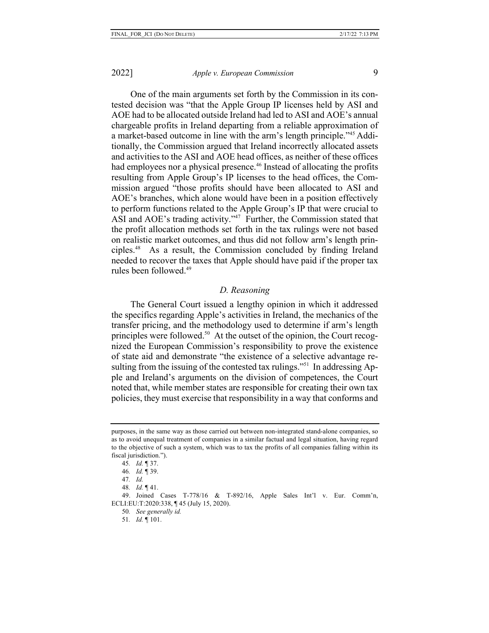One of the main arguments set forth by the Commission in its contested decision was "that the Apple Group IP licenses held by ASI and AOE had to be allocated outside Ireland had led to ASI and AOE's annual chargeable profits in Ireland departing from a reliable approximation of a market-based outcome in line with the arm's length principle."45 Additionally, the Commission argued that Ireland incorrectly allocated assets and activities to the ASI and AOE head offices, as neither of these offices had employees nor a physical presence.<sup>46</sup> Instead of allocating the profits resulting from Apple Group's IP licenses to the head offices, the Commission argued "those profits should have been allocated to ASI and AOE's branches, which alone would have been in a position effectively to perform functions related to the Apple Group's IP that were crucial to ASI and AOE's trading activity."<sup>47</sup> Further, the Commission stated that the profit allocation methods set forth in the tax rulings were not based on realistic market outcomes, and thus did not follow arm's length principles.48 As a result, the Commission concluded by finding Ireland needed to recover the taxes that Apple should have paid if the proper tax rules been followed.49

## *D. Reasoning*

The General Court issued a lengthy opinion in which it addressed the specifics regarding Apple's activities in Ireland, the mechanics of the transfer pricing, and the methodology used to determine if arm's length principles were followed.50 At the outset of the opinion, the Court recognized the European Commission's responsibility to prove the existence of state aid and demonstrate "the existence of a selective advantage resulting from the issuing of the contested tax rulings."<sup>51</sup> In addressing Apple and Ireland's arguments on the division of competences, the Court noted that, while member states are responsible for creating their own tax policies, they must exercise that responsibility in a way that conforms and

purposes, in the same way as those carried out between non-integrated stand-alone companies, so as to avoid unequal treatment of companies in a similar factual and legal situation, having regard to the objective of such a system, which was to tax the profits of all companies falling within its fiscal jurisdiction.").

<sup>45</sup>*. Id.* ¶ 37.

<sup>46</sup>*. Id.* ¶ 39.

<sup>47</sup>*. Id.*

<sup>48</sup>*. Id.* ¶ 41.

<sup>49.</sup> Joined Cases T-778/16 & T-892/16, Apple Sales Int'l v. Eur. Comm'n, ECLI:EU:T:2020:338, ¶ 45 (July 15, 2020).

<sup>50</sup>*. See generally id.*

<sup>51</sup>*. Id.* ¶ 101.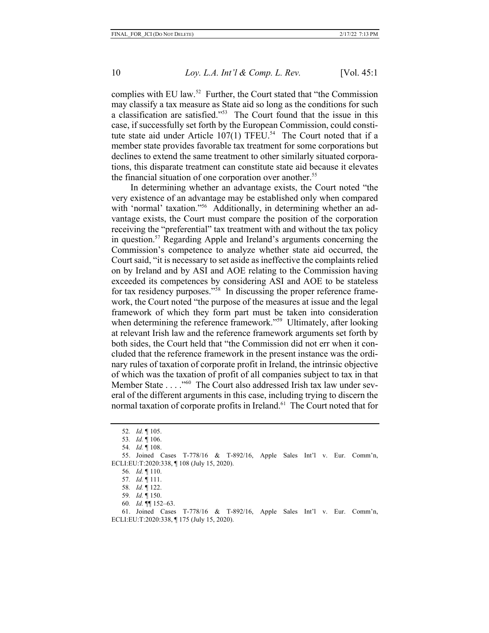complies with EU law.52 Further, the Court stated that "the Commission may classify a tax measure as State aid so long as the conditions for such a classification are satisfied."53 The Court found that the issue in this case, if successfully set forth by the European Commission, could constitute state aid under Article 107(1) TFEU.<sup>54</sup> The Court noted that if a member state provides favorable tax treatment for some corporations but declines to extend the same treatment to other similarly situated corporations, this disparate treatment can constitute state aid because it elevates the financial situation of one corporation over another.<sup>55</sup>

In determining whether an advantage exists, the Court noted "the very existence of an advantage may be established only when compared with 'normal' taxation."<sup>56</sup> Additionally, in determining whether an advantage exists, the Court must compare the position of the corporation receiving the "preferential" tax treatment with and without the tax policy in question.57 Regarding Apple and Ireland's arguments concerning the Commission's competence to analyze whether state aid occurred, the Court said, "it is necessary to set aside as ineffective the complaints relied on by Ireland and by ASI and AOE relating to the Commission having exceeded its competences by considering ASI and AOE to be stateless for tax residency purposes."<sup>58</sup> In discussing the proper reference framework, the Court noted "the purpose of the measures at issue and the legal framework of which they form part must be taken into consideration when determining the reference framework."<sup>59</sup> Ultimately, after looking at relevant Irish law and the reference framework arguments set forth by both sides, the Court held that "the Commission did not err when it concluded that the reference framework in the present instance was the ordinary rules of taxation of corporate profit in Ireland, the intrinsic objective of which was the taxation of profit of all companies subject to tax in that Member State . . . . "<sup>60</sup> The Court also addressed Irish tax law under several of the different arguments in this case, including trying to discern the normal taxation of corporate profits in Ireland.<sup>61</sup> The Court noted that for

<sup>52</sup>*. Id.* ¶ 105.

<sup>53</sup>*. Id.* ¶ 106.

<sup>54</sup>*. Id.* ¶ 108.

<sup>55.</sup> Joined Cases T-778/16 & T-892/16, Apple Sales Int'l v. Eur. Comm'n, ECLI:EU:T:2020:338, ¶ 108 (July 15, 2020).

<sup>56</sup>*. Id.* ¶ 110.

<sup>57</sup>*. Id.* ¶ 111.

<sup>58</sup>*. Id.* ¶ 122.

<sup>59</sup>*. Id.* ¶ 150.

<sup>60</sup>*. Id.* ¶¶ 152–63.

<sup>61.</sup> Joined Cases T-778/16 & T-892/16, Apple Sales Int'l v. Eur. Comm'n, ECLI:EU:T:2020:338, ¶ 175 (July 15, 2020).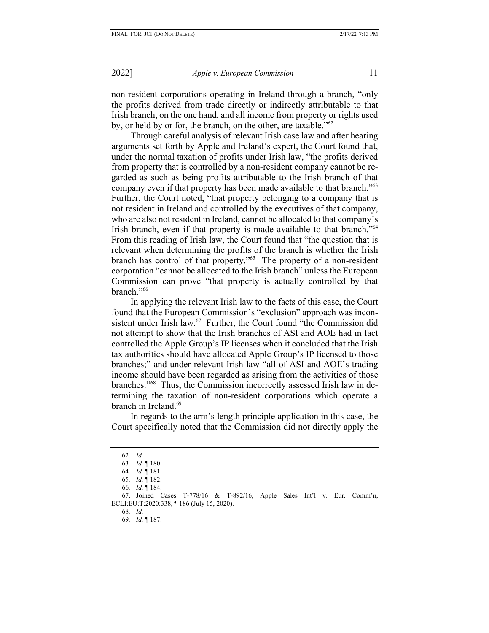non-resident corporations operating in Ireland through a branch, "only the profits derived from trade directly or indirectly attributable to that Irish branch, on the one hand, and all income from property or rights used by, or held by or for, the branch, on the other, are taxable."<sup>62</sup>

Through careful analysis of relevant Irish case law and after hearing arguments set forth by Apple and Ireland's expert, the Court found that, under the normal taxation of profits under Irish law, "the profits derived from property that is controlled by a non-resident company cannot be regarded as such as being profits attributable to the Irish branch of that company even if that property has been made available to that branch."63 Further, the Court noted, "that property belonging to a company that is not resident in Ireland and controlled by the executives of that company, who are also not resident in Ireland, cannot be allocated to that company's Irish branch, even if that property is made available to that branch."<sup>64</sup> From this reading of Irish law, the Court found that "the question that is relevant when determining the profits of the branch is whether the Irish branch has control of that property."65 The property of a non-resident corporation "cannot be allocated to the Irish branch" unless the European Commission can prove "that property is actually controlled by that branch."66

In applying the relevant Irish law to the facts of this case, the Court found that the European Commission's "exclusion" approach was inconsistent under Irish law.<sup>67</sup> Further, the Court found "the Commission did not attempt to show that the Irish branches of ASI and AOE had in fact controlled the Apple Group's IP licenses when it concluded that the Irish tax authorities should have allocated Apple Group's IP licensed to those branches;" and under relevant Irish law "all of ASI and AOE's trading income should have been regarded as arising from the activities of those branches."68 Thus, the Commission incorrectly assessed Irish law in determining the taxation of non-resident corporations which operate a branch in Ireland<sup>69</sup>

In regards to the arm's length principle application in this case, the Court specifically noted that the Commission did not directly apply the

66*. Id.* ¶ 184.

- 68*. Id.*
- 69*. Id.* ¶ 187.

<sup>62</sup>*. Id.*

<sup>63</sup>*. Id.* ¶ 180.

<sup>64</sup>*. Id.* ¶ 181.

<sup>65</sup>*. Id.* ¶ 182.

<sup>67.</sup> Joined Cases T-778/16 & T-892/16, Apple Sales Int'l v. Eur. Comm'n, ECLI:EU:T:2020:338, ¶ 186 (July 15, 2020).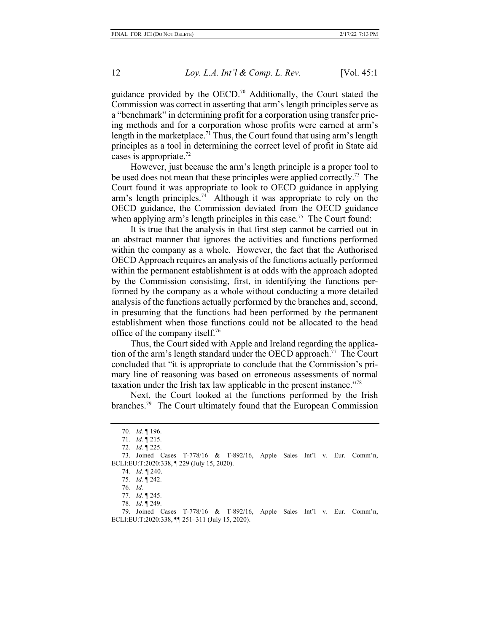guidance provided by the OECD.70 Additionally, the Court stated the Commission was correct in asserting that arm's length principles serve as a "benchmark" in determining profit for a corporation using transfer pricing methods and for a corporation whose profits were earned at arm's length in the marketplace.<sup>71</sup> Thus, the Court found that using arm's length principles as a tool in determining the correct level of profit in State aid cases is appropriate.72

However, just because the arm's length principle is a proper tool to be used does not mean that these principles were applied correctly.<sup>73</sup> The Court found it was appropriate to look to OECD guidance in applying arm's length principles.<sup>74</sup> Although it was appropriate to rely on the OECD guidance, the Commission deviated from the OECD guidance when applying arm's length principles in this case.<sup>75</sup> The Court found:

It is true that the analysis in that first step cannot be carried out in an abstract manner that ignores the activities and functions performed within the company as a whole. However, the fact that the Authorised OECD Approach requires an analysis of the functions actually performed within the permanent establishment is at odds with the approach adopted by the Commission consisting, first, in identifying the functions performed by the company as a whole without conducting a more detailed analysis of the functions actually performed by the branches and, second, in presuming that the functions had been performed by the permanent establishment when those functions could not be allocated to the head office of the company itself.76

Thus, the Court sided with Apple and Ireland regarding the application of the arm's length standard under the OECD approach.<sup>77</sup> The Court concluded that "it is appropriate to conclude that the Commission's primary line of reasoning was based on erroneous assessments of normal taxation under the Irish tax law applicable in the present instance."78

Next, the Court looked at the functions performed by the Irish branches.79 The Court ultimately found that the European Commission

<sup>70</sup>*. Id.* ¶ 196.

<sup>71</sup>*. Id.* ¶ 215.

<sup>72</sup>*. Id.* ¶ 225.

<sup>73.</sup> Joined Cases T-778/16 & T-892/16, Apple Sales Int'l v. Eur. Comm'n, ECLI:EU:T:2020:338, ¶ 229 (July 15, 2020).

<sup>74</sup>*. Id. ¶* 240.

<sup>75</sup>*. Id.* ¶ 242.

<sup>76</sup>*. Id.*

<sup>77</sup>*. Id.* ¶ 245.

<sup>78</sup>*. Id.* ¶ 249.

<sup>79.</sup> Joined Cases T-778/16 & T-892/16, Apple Sales Int'l v. Eur. Comm'n, ECLI:EU:T:2020:338, ¶¶ 251–311 (July 15, 2020).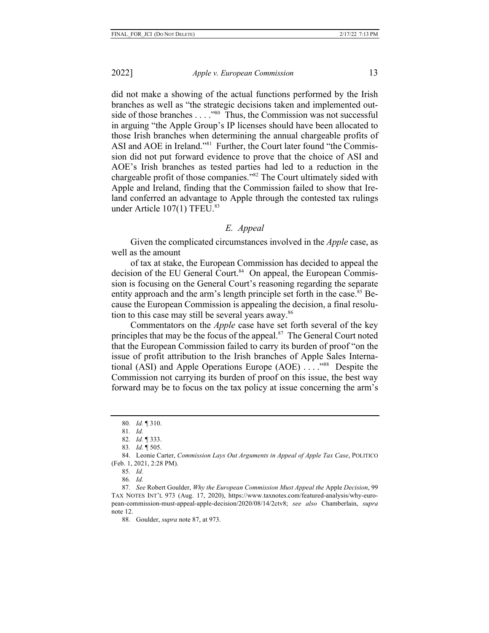did not make a showing of the actual functions performed by the Irish branches as well as "the strategic decisions taken and implemented outside of those branches  $\dots$ ."<sup>80</sup> Thus, the Commission was not successful in arguing "the Apple Group's IP licenses should have been allocated to those Irish branches when determining the annual chargeable profits of ASI and AOE in Ireland."<sup>81</sup> Further, the Court later found "the Commission did not put forward evidence to prove that the choice of ASI and AOE's Irish branches as tested parties had led to a reduction in the chargeable profit of those companies."82 The Court ultimately sided with Apple and Ireland, finding that the Commission failed to show that Ireland conferred an advantage to Apple through the contested tax rulings under Article 107(1) TFEU.<sup>83</sup>

## *E. Appeal*

Given the complicated circumstances involved in the *Apple* case, as well as the amount

of tax at stake, the European Commission has decided to appeal the decision of the EU General Court.<sup>84</sup> On appeal, the European Commission is focusing on the General Court's reasoning regarding the separate entity approach and the arm's length principle set forth in the case.<sup>85</sup> Because the European Commission is appealing the decision, a final resolution to this case may still be several years away.<sup>86</sup>

Commentators on the *Apple* case have set forth several of the key principles that may be the focus of the appeal.<sup>87</sup> The General Court noted that the European Commission failed to carry its burden of proof "on the issue of profit attribution to the Irish branches of Apple Sales International (ASI) and Apple Operations Europe (AOE) . . . ."88 Despite the Commission not carrying its burden of proof on this issue, the best way forward may be to focus on the tax policy at issue concerning the arm's

<sup>80</sup>*. Id.* ¶ 310.

<sup>81</sup>*. Id.*

<sup>82</sup>*. Id.* ¶ 333.

<sup>83</sup>*. Id.* ¶ 505.

<sup>84.</sup> Leonie Carter, *Commission Lays Out Arguments in Appeal of Apple Tax Case*, POLITICO (Feb. 1, 2021, 2:28 PM).

<sup>85</sup>*. Id.*

<sup>86</sup>*. Id.*

<sup>87</sup>*. See* Robert Goulder, *Why the European Commission Must Appeal the* Apple *Decision*, 99 TAX NOTES INT'L 973 (Aug. 17, 2020), https://www.taxnotes.com/featured-analysis/why-european-commission-must-appeal-apple-decision/2020/08/14/2ctv8; *see also* Chamberlain, *supra* note 12.

<sup>88.</sup> Goulder, *supra* note 87, at 973.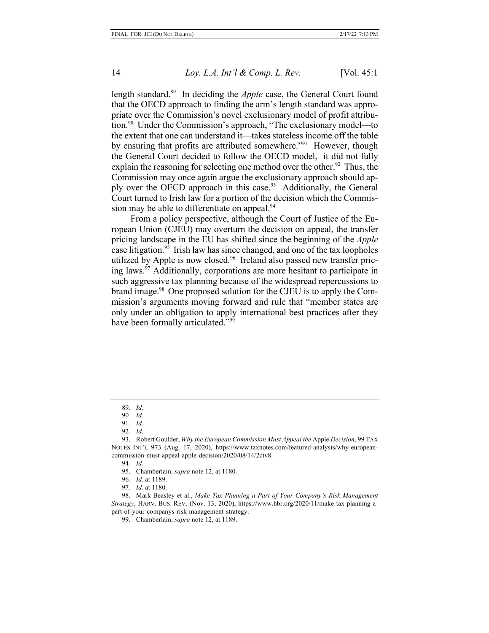length standard.89 In deciding the *Apple* case, the General Court found that the OECD approach to finding the arm's length standard was appropriate over the Commission's novel exclusionary model of profit attribution.90 Under the Commission's approach, "The exclusionary model—to the extent that one can understand it—takes stateless income off the table by ensuring that profits are attributed somewhere."91 However, though the General Court decided to follow the OECD model, it did not fully explain the reasoning for selecting one method over the other.<sup>92</sup> Thus, the Commission may once again argue the exclusionary approach should apply over the OECD approach in this case.<sup>93</sup> Additionally, the General Court turned to Irish law for a portion of the decision which the Commission may be able to differentiate on appeal.<sup>94</sup>

From a policy perspective, although the Court of Justice of the European Union (CJEU) may overturn the decision on appeal, the transfer pricing landscape in the EU has shifted since the beginning of the *Apple* case litigation.95 Irish law has since changed, and one of the tax loopholes utilized by Apple is now closed.<sup>96</sup> Ireland also passed new transfer pricing laws.<sup>97</sup> Additionally, corporations are more hesitant to participate in such aggressive tax planning because of the widespread repercussions to brand image.<sup>98</sup> One proposed solution for the CJEU is to apply the Commission's arguments moving forward and rule that "member states are only under an obligation to apply international best practices after they have been formally articulated."<sup>99</sup>

94*. Id.*

<sup>89</sup>*. Id.*

<sup>90</sup>*. Id.*

<sup>91</sup>*. Id.*

<sup>92</sup>*. Id.*

<sup>93.</sup> Robert Goulder, *Why the European Commission Must Appeal the* Apple *Decision*, 99 TAX NOTES INT'L 973 (Aug. 17, 2020), https://www.taxnotes.com/featured-analysis/why-europeancommission-must-appeal-apple-decision/2020/08/14/2ctv8.

<sup>95.</sup> Chamberlain, *supra* note 12, at 1180.

<sup>96</sup>*. Id.* at 1189.

<sup>97</sup>*. Id.* at 1180.

<sup>98.</sup> Mark Beasley et al., *Make Tax Planning a Part of Your Company's Risk Management Strategy*, HARV. BUS. REV. (Nov. 13, 2020), https://www.hbr.org/2020/11/make-tax-planning-apart-of-your-companys-risk-management-strategy.

<sup>99.</sup> Chamberlain, *supra* note 12, at 1189.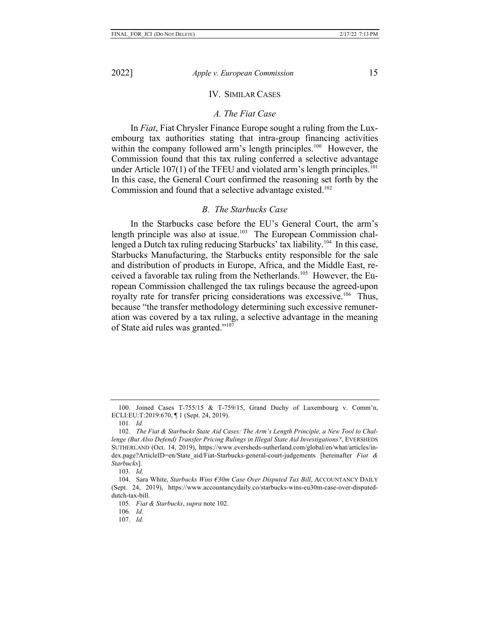## IV. SIMILAR CASES

#### *A. The Fiat Case*

In *Fiat*, Fiat Chrysler Finance Europe sought a ruling from the Luxembourg tax authorities stating that intra-group financing activities within the company followed arm's length principles.<sup>100</sup> However, the Commission found that this tax ruling conferred a selective advantage under Article 107(1) of the TFEU and violated arm's length principles.<sup>101</sup> In this case, the General Court confirmed the reasoning set forth by the Commission and found that a selective advantage existed.<sup>102</sup>

## *B. The Starbucks Case*

In the Starbucks case before the EU's General Court, the arm's length principle was also at issue.<sup>103</sup> The European Commission challenged a Dutch tax ruling reducing Starbucks' tax liability.<sup>104</sup> In this case, Starbucks Manufacturing, the Starbucks entity responsible for the sale and distribution of products in Europe, Africa, and the Middle East, received a favorable tax ruling from the Netherlands.105 However, the European Commission challenged the tax rulings because the agreed-upon royalty rate for transfer pricing considerations was excessive.<sup>106</sup> Thus, because "the transfer methodology determining such excessive remuneration was covered by a tax ruling, a selective advantage in the meaning of State aid rules was granted."<sup>107</sup>

<sup>100.</sup> Joined Cases T-755/15 & T-759/15, Grand Duchy of Luxembourg v. Comm'n, ECLI:EU:T:2019:670, ¶ 1 (Sept. 24, 2019).

<sup>101</sup>*. Id.*

<sup>102</sup>*. The Fiat & Starbucks State Aid Cases: The Arm's Length Principle, a New Tool to Challenge (But Also Defend) Transfer Pricing Rulings in Illegal State Aid Investigations?*, EVERSHEDS SUTHERLAND (Oct. 14, 2019), https://www.eversheds-sutherland.com/global/en/what/articles/index.page?ArticleID=en/State\_aid/Fiat-Starbucks-general-court-judgements [hereinafter *Fiat & Starbucks*].

<sup>103</sup>*. Id.*

<sup>104.</sup> Sara White, *Starbucks Wins €30m Case Over Disputed Tax Bill*, ACCOUNTANCY DAILY (Sept. 24, 2019), https://www.accountancydaily.co/starbucks-wins-eu30m-case-over-disputeddutch-tax-bill.

<sup>105</sup>*. Fiat & Starbucks*, *supra* note 102.

<sup>106</sup>*. Id.*

<sup>107</sup>*. Id.*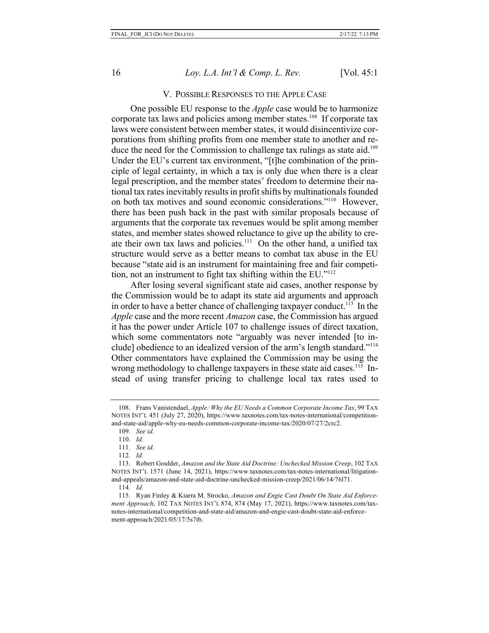### V. POSSIBLE RESPONSES TO THE APPLE CASE

One possible EU response to the *Apple* case would be to harmonize corporate tax laws and policies among member states.108 If corporate tax laws were consistent between member states, it would disincentivize corporations from shifting profits from one member state to another and reduce the need for the Commission to challenge tax rulings as state aid.<sup>109</sup> Under the EU's current tax environment, "[t]he combination of the principle of legal certainty, in which a tax is only due when there is a clear legal prescription, and the member states' freedom to determine their national tax rates inevitably results in profit shifts by multinationals founded on both tax motives and sound economic considerations."110 However, there has been push back in the past with similar proposals because of arguments that the corporate tax revenues would be split among member states, and member states showed reluctance to give up the ability to create their own tax laws and policies.<sup>111</sup> On the other hand, a unified tax structure would serve as a better means to combat tax abuse in the EU because "state aid is an instrument for maintaining free and fair competition, not an instrument to fight tax shifting within the EU."112

After losing several significant state aid cases, another response by the Commission would be to adapt its state aid arguments and approach in order to have a better chance of challenging taxpayer conduct.<sup>113</sup> In the *Apple* case and the more recent *Amazon* case, the Commission has argued it has the power under Article 107 to challenge issues of direct taxation, which some commentators note "arguably was never intended [to include] obedience to an idealized version of the arm's length standard."114 Other commentators have explained the Commission may be using the wrong methodology to challenge taxpayers in these state aid cases.<sup>115</sup> Instead of using transfer pricing to challenge local tax rates used to

<sup>108.</sup> Frans Vanistendael, *Apple: Why the EU Needs a Common Corporate Income Tax*, 99 TAX NOTES INT'L 451 (July 27, 2020), https://www.taxnotes.com/tax-notes-international/competitionand-state-aid/apple-why-eu-needs-common-corporate-income-tax/2020/07/27/2crc2.

<sup>109</sup>*. See id.*

<sup>110</sup>*. Id.*

<sup>111</sup>*. See id.*

<sup>112</sup>*. Id.*

<sup>113.</sup> Robert Goulder, *Amazon and the State Aid Doctrine: Unchecked Mission Creep*, 102 TAX NOTES INT'L 1571 (June 14, 2021), https://www.taxnotes.com/tax-notes-international/litigationand-appeals/amazon-and-state-aid-doctrine-unchecked-mission-creep/2021/06/14/76l71.

<sup>114</sup>*. Id.*

<sup>115.</sup> Ryan Finley & Kiarra M. Strocko, *Amazon and Engie Cast Doubt On State Aid Enforcement Approach*, 102 TAX NOTES INT'L 874, 874 (May 17, 2021), https://www.taxnotes.com/taxnotes-international/competition-and-state-aid/amazon-and-engie-cast-doubt-state-aid-enforcement-approach/2021/05/17/5s7tb.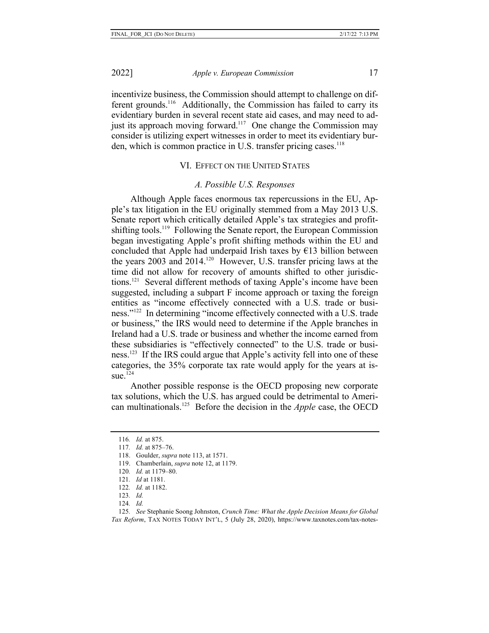incentivize business, the Commission should attempt to challenge on different grounds.116 Additionally, the Commission has failed to carry its evidentiary burden in several recent state aid cases, and may need to adjust its approach moving forward.<sup>117</sup> One change the Commission may consider is utilizing expert witnesses in order to meet its evidentiary burden, which is common practice in U.S. transfer pricing cases.<sup>118</sup>

## VI. EFFECT ON THE UNITED STATES

## *A. Possible U.S. Responses*

Although Apple faces enormous tax repercussions in the EU, Apple's tax litigation in the EU originally stemmed from a May 2013 U.S. Senate report which critically detailed Apple's tax strategies and profitshifting tools.<sup>119</sup> Following the Senate report, the European Commission began investigating Apple's profit shifting methods within the EU and concluded that Apple had underpaid Irish taxes by  $E13$  billion between the years 2003 and 2014.<sup>120</sup> However, U.S. transfer pricing laws at the time did not allow for recovery of amounts shifted to other jurisdictions.121 Several different methods of taxing Apple's income have been suggested, including a subpart F income approach or taxing the foreign entities as "income effectively connected with a U.S. trade or business."122 In determining "income effectively connected with a U.S. trade or business," the IRS would need to determine if the Apple branches in Ireland had a U.S. trade or business and whether the income earned from these subsidiaries is "effectively connected" to the U.S. trade or business.<sup>123</sup> If the IRS could argue that Apple's activity fell into one of these categories, the 35% corporate tax rate would apply for the years at is- $\overline{124}$ 

Another possible response is the OECD proposing new corporate tax solutions, which the U.S. has argued could be detrimental to American multinationals.125 Before the decision in the *Apple* case, the OECD

- 122*. Id.* at 1182.
- 123*. Id.*
- 124*. Id.*

125*. See* Stephanie Soong Johnston, *Crunch Time: What the Apple Decision Means for Global Tax Reform*, TAX NOTES TODAY INT'L, 5 (July 28, 2020), https://www.taxnotes.com/tax-notes-

<sup>116</sup>*. Id.* at 875.

<sup>117</sup>*. Id.* at 875–76.

<sup>118.</sup> Goulder, *supra* note 113, at 1571.

<sup>119.</sup> Chamberlain, *supra* note 12, at 1179.

<sup>120</sup>*. Id.* at 1179–80.

<sup>121</sup>*. Id* at 1181.